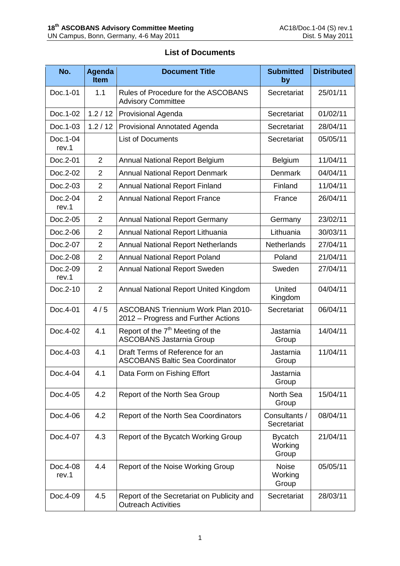| No.               | <b>Agenda</b><br><b>Item</b> | <b>Document Title</b>                                                            | <b>Submitted</b><br>by             | <b>Distributed</b> |
|-------------------|------------------------------|----------------------------------------------------------------------------------|------------------------------------|--------------------|
| Doc.1-01          | 1.1                          | Rules of Procedure for the ASCOBANS<br><b>Advisory Committee</b>                 | Secretariat                        | 25/01/11           |
| Doc.1-02          | 1.2 / 12                     | Provisional Agenda                                                               | Secretariat                        | 01/02/11           |
| Doc.1-03          | 1.2 / 12                     | <b>Provisional Annotated Agenda</b>                                              | Secretariat                        | 28/04/11           |
| Doc.1-04<br>rev.1 |                              | <b>List of Documents</b>                                                         | Secretariat                        | 05/05/11           |
| Doc.2-01          | $\overline{2}$               | <b>Annual National Report Belgium</b>                                            | Belgium                            | 11/04/11           |
| Doc.2-02          | $\overline{2}$               | <b>Annual National Report Denmark</b>                                            | Denmark                            | 04/04/11           |
| Doc.2-03          | $\overline{2}$               | <b>Annual National Report Finland</b>                                            | Finland                            | 11/04/11           |
| Doc.2-04<br>rev.1 | $\overline{2}$               | <b>Annual National Report France</b>                                             | France                             | 26/04/11           |
| Doc.2-05          | $\overline{2}$               | <b>Annual National Report Germany</b>                                            | Germany                            | 23/02/11           |
| Doc.2-06          | $\overline{2}$               | Annual National Report Lithuania                                                 | Lithuania                          | 30/03/11           |
| Doc.2-07          | $\overline{2}$               | <b>Annual National Report Netherlands</b>                                        | <b>Netherlands</b>                 | 27/04/11           |
| Doc.2-08          | $\overline{2}$               | <b>Annual National Report Poland</b>                                             | Poland                             | 21/04/11           |
| Doc.2-09<br>rev.1 | $\overline{2}$               | <b>Annual National Report Sweden</b>                                             | Sweden                             | 27/04/11           |
| Doc.2-10          | $\overline{2}$               | Annual National Report United Kingdom                                            | United<br>Kingdom                  | 04/04/11           |
| Doc.4-01          | 4/5                          | <b>ASCOBANS Triennium Work Plan 2010-</b><br>2012 – Progress and Further Actions | Secretariat                        | 06/04/11           |
| Doc.4-02          | 4.1                          | Report of the 7 <sup>th</sup> Meeting of the<br><b>ASCOBANS Jastarnia Group</b>  | Jastarnia<br>Group                 | 14/04/11           |
| Doc.4-03          | 4.1                          | Draft Terms of Reference for an<br><b>ASCOBANS Baltic Sea Coordinator</b>        | Jastarnia<br>Group                 | 11/04/11           |
| Doc.4-04          | 4.1                          | Data Form on Fishing Effort                                                      | Jastarnia<br>Group                 |                    |
| Doc.4-05          | 4.2                          | Report of the North Sea Group                                                    | North Sea<br>Group                 | 15/04/11           |
| Doc.4-06          | 4.2                          | Report of the North Sea Coordinators                                             | Consultants /<br>Secretariat       | 08/04/11           |
| Doc.4-07          | 4.3                          | Report of the Bycatch Working Group                                              | <b>Bycatch</b><br>Working<br>Group | 21/04/11           |
| Doc.4-08<br>rev.1 | 4.4                          | Report of the Noise Working Group                                                | <b>Noise</b><br>Working<br>Group   | 05/05/11           |
| Doc.4-09          | 4.5                          | Report of the Secretariat on Publicity and<br><b>Outreach Activities</b>         | Secretariat                        | 28/03/11           |

## **List of Documents**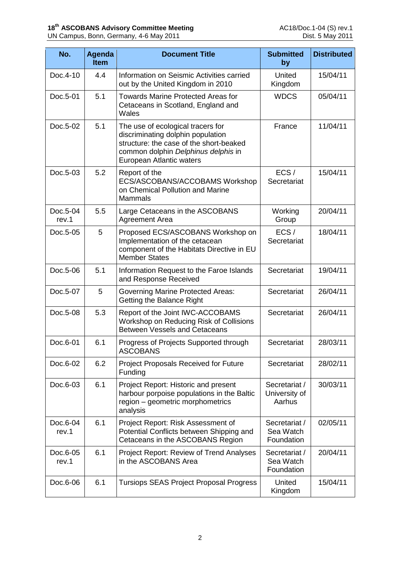| No.               | <b>Agenda</b><br><b>Item</b> | <b>Document Title</b>                                                                                                                                                                | <b>Submitted</b><br>by                   | <b>Distributed</b> |
|-------------------|------------------------------|--------------------------------------------------------------------------------------------------------------------------------------------------------------------------------------|------------------------------------------|--------------------|
| Doc.4-10          | 4.4                          | Information on Seismic Activities carried<br>out by the United Kingdom in 2010                                                                                                       | United<br>Kingdom                        | 15/04/11           |
| Doc.5-01          | 5.1                          | <b>Towards Marine Protected Areas for</b><br>Cetaceans in Scotland, England and<br>Wales                                                                                             | <b>WDCS</b>                              | 05/04/11           |
| Doc.5-02          | 5.1                          | The use of ecological tracers for<br>discriminating dolphin population<br>structure: the case of the short-beaked<br>common dolphin Delphinus delphis in<br>European Atlantic waters | France                                   | 11/04/11           |
| Doc.5-03          | 5.2                          | Report of the<br>ECS/ASCOBANS/ACCOBAMS Workshop<br>on Chemical Pollution and Marine<br><b>Mammals</b>                                                                                | ECS/<br>Secretariat                      | 15/04/11           |
| Doc.5-04<br>rev.1 | 5.5                          | Large Cetaceans in the ASCOBANS<br>Agreement Area                                                                                                                                    | Working<br>Group                         | 20/04/11           |
| Doc.5-05          | 5                            | Proposed ECS/ASCOBANS Workshop on<br>Implementation of the cetacean<br>component of the Habitats Directive in EU<br><b>Member States</b>                                             | ECS/<br>Secretariat                      | 18/04/11           |
| Doc.5-06          | 5.1                          | Information Request to the Faroe Islands<br>and Response Received                                                                                                                    | Secretariat                              | 19/04/11           |
| Doc.5-07          | 5                            | <b>Governing Marine Protected Areas:</b><br>Getting the Balance Right                                                                                                                | Secretariat                              | 26/04/11           |
| Doc.5-08          | 5.3                          | Report of the Joint IWC-ACCOBAMS<br>Workshop on Reducing Risk of Collisions<br><b>Between Vessels and Cetaceans</b>                                                                  | Secretariat                              | 26/04/11           |
| Doc.6-01          | 6.1                          | Progress of Projects Supported through<br><b>ASCOBANS</b>                                                                                                                            | Secretariat                              | 28/03/11           |
| Doc.6-02          | 6.2                          | <b>Project Proposals Received for Future</b><br>Funding                                                                                                                              | Secretariat                              | 28/02/11           |
| Doc.6-03          | 6.1                          | Project Report: Historic and present<br>harbour porpoise populations in the Baltic<br>region - geometric morphometrics<br>analysis                                                   | Secretariat /<br>University of<br>Aarhus | 30/03/11           |
| Doc.6-04<br>rev.1 | 6.1                          | Project Report: Risk Assessment of<br>Potential Conflicts between Shipping and<br>Cetaceans in the ASCOBANS Region                                                                   | Secretariat /<br>Sea Watch<br>Foundation | 02/05/11           |
| Doc.6-05<br>rev.1 | 6.1                          | Project Report: Review of Trend Analyses<br>in the ASCOBANS Area                                                                                                                     | Secretariat /<br>Sea Watch<br>Foundation | 20/04/11           |
| Doc.6-06          | 6.1                          | <b>Tursiops SEAS Project Proposal Progress</b>                                                                                                                                       | United<br>Kingdom                        | 15/04/11           |